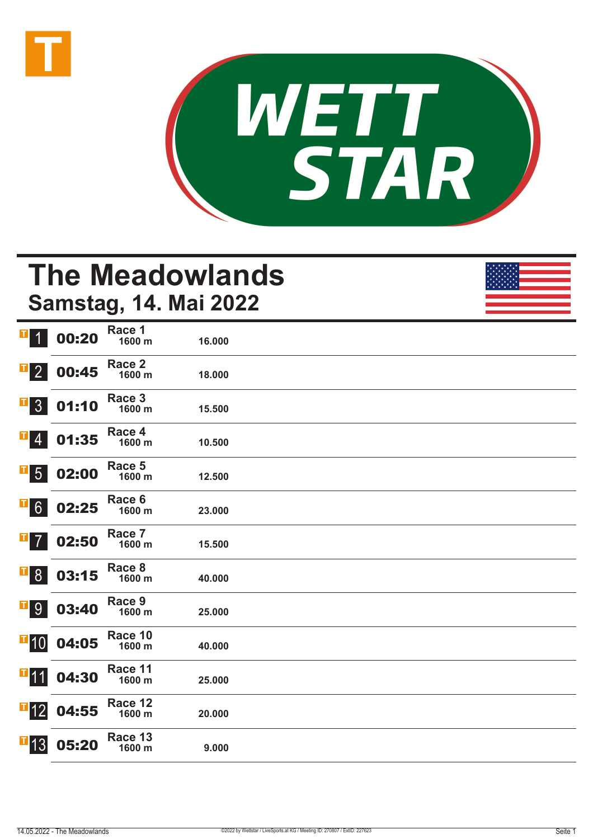



# **The Meadowlands Samstag, 14. Mai 2022**

| $\mathbf T$<br>$\overline{\mathcal{L}}$                                    | 00:20 | Race 1<br>1600 m  | 16.000 |  |
|----------------------------------------------------------------------------|-------|-------------------|--------|--|
| $\overline{\textbf{1}}$ 2                                                  | 00:45 | Race 2<br>1600 m  | 18.000 |  |
| $\begin{array}{ c c } \hline \textbf{I} & 3 \\ \hline \end{array}$         | 01:10 | Race 3<br>1600 m  | 15.500 |  |
| $\mathbf{F}$ 4                                                             | 01:35 | Race 4<br>1600 m  | 10.500 |  |
| $\mathbf{F}$ 5                                                             | 02:00 | Race 5<br>1600 m  | 12.500 |  |
| $\overline{1}6$                                                            | 02:25 | Race 6<br>1600 m  | 23.000 |  |
| $\mathbf{F}$ 7                                                             | 02:50 | Race 7<br>1600 m  | 15.500 |  |
| $\begin{array}{ c c } \hline \textbf{I} & \textbf{8} \\\hline \end{array}$ | 03:15 | Race 8<br>1600 m  | 40.000 |  |
| $\overline{1}9$                                                            | 03:40 | Race 9<br>1600 m  | 25.000 |  |
| $\overline{\textbf{1}}$ 10                                                 | 04:05 | Race 10<br>1600 m | 40.000 |  |
| <b>T</b> <sub>11</sub>                                                     | 04:30 | Race 11<br>1600 m | 25.000 |  |
| $\mathbf{F}$ 12                                                            | 04:55 | Race 12<br>1600 m | 20.000 |  |
| $\mathbf{F}$ 13                                                            | 05:20 | Race 13<br>1600 m | 9.000  |  |
|                                                                            |       |                   |        |  |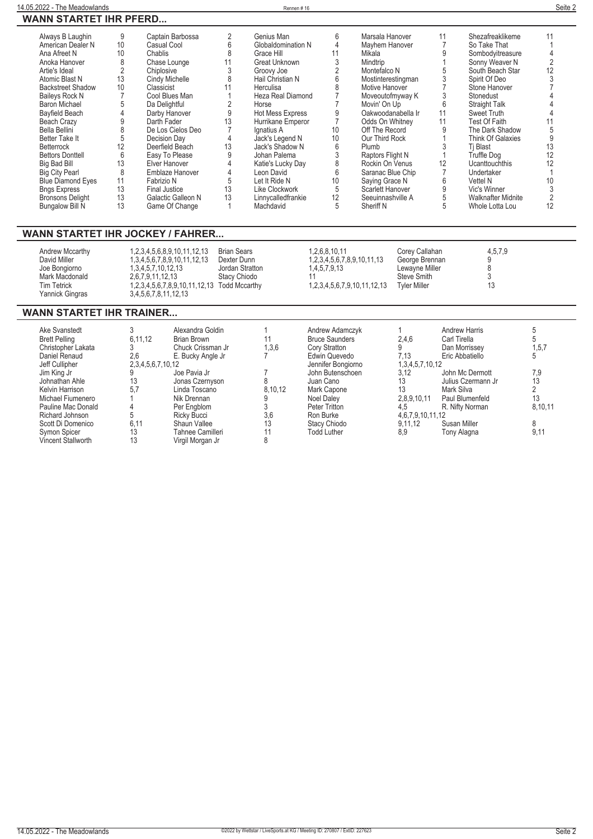#### **14.05.2022 - The Meadowlands** Rennen # 16 **Seite 2 WANN STARTET IHR PFERD...**

| 9  | Captain Barbossa     |                           | Genius Man         | 6  | Marsala Hanover    | 11 | Shezafreaklikeme          | 11 |
|----|----------------------|---------------------------|--------------------|----|--------------------|----|---------------------------|----|
| 10 | Casual Cool          |                           | Globaldomination N |    | Mayhem Hanover     |    | So Take That              |    |
| 10 | Chablis              |                           | Grace Hill         | 11 | Mikala             |    | Sombodyitreasure          |    |
|    | Chase Lounge         |                           | Great Unknown      |    | Mindtrip           |    | Sonny Weaver N            |    |
|    | Chiplosive           |                           | Groovy Joe         |    | Montefalco N       |    | South Beach Star          | 12 |
| 13 | Cindy Michelle       |                           | Hail Christian N   |    | Mostinterestingman |    | Spirit Of Deo             |    |
| 10 | Classicist           |                           | Herculisa          |    | Motive Hanover     |    | Stone Hanover             |    |
|    | Cool Blues Man       |                           | Heza Real Diamond  |    | Moveoutofmyway K   |    | Stonedust                 |    |
|    | Da Delightful        |                           | Horse              |    | Movin' On Up       | 6  | <b>Straight Talk</b>      |    |
|    | Darby Hanover        |                           | Hot Mess Express   |    | Oakwoodanabella Ir | 11 | Sweet Truth               |    |
|    | Darth Fader          | 13                        | Hurrikane Emperor  |    | Odds On Whitney    | 11 | Test Of Faith             |    |
|    | De Los Cielos Deo    |                           | Ignatius A         | 10 | Off The Record     |    | The Dark Shadow           |    |
|    | Decision Day         |                           | Jack's Legend N    | 10 | Our Third Rock     |    | <b>Think Of Galaxies</b>  |    |
| 12 | Deerfield Beach      | 13                        | Jack's Shadow N    | 6  | Plumb              |    | Ti Blast                  | 13 |
| 6  | Easy To Please       |                           | Johan Palema       |    | Raptors Flight N   |    | <b>Truffle Dog</b>        | 12 |
| 13 | Elver Hanover        |                           | Katie's Lucky Day  |    | Rockin On Venus    | 12 | <b>Ucanttouchthis</b>     | 12 |
| 8  | Emblaze Hanover      |                           | Leon David         | 6  | Saranac Blue Chip  |    | Undertaker                |    |
| 11 | Fabrizio N           | 5                         | Let It Ride N      | 10 | Saying Grace N     | հ  | Vettel N                  | 10 |
| 13 | <b>Final Justice</b> | 13                        | Like Clockwork     | 5  | Scarlett Hanover   |    | Vic's Winner              |    |
| 13 | Galactic Galleon N   | 13                        | Linnycalledfrankie | 12 | Seeuinnashville A  |    | <b>Walknafter Midnite</b> |    |
| 13 | Game Of Change       |                           | Machdavid          | 5  | Sheriff N          |    | Whole Lotta Lou           |    |
|    |                      | ANN 9 LAN LL IIIN LL LIVD |                    |    |                    |    |                           |    |

#### **WANN STARTET IHR JOCKEY / FAHRER...**

| Andrew Mccarthy<br>David Miller<br>Joe Bongiorno<br>Mark Macdonald<br><b>Tim Tetrick</b><br>Yannick Gingras | 1, 2, 3, 4, 5, 6, 8, 9, 10, 11, 12, 13<br>1,3,4,5,6,7,8,9,10,11,12,13<br>1.3.4.5.7.10.12.13<br>2.6.7.9.11.12.13<br>1,2,3,4,5,6,7,8,9,10,11,12,13 Todd Mccarthy<br>3,4,5,6,7,8,11,12,13 | <b>Brian Sears</b><br>Dexter Dunn<br>Jordan Stratton<br>Stacy Chiodo | 1.2.6.8.10.11<br>1, 2, 3, 4, 5, 6, 7, 8, 9, 10, 11, 13<br>1.4.5.7.9.13<br>1, 2, 3, 4, 5, 6, 7, 9, 10, 11, 12, 13 | Corey Callahan<br>George Brennan<br>Lewayne Miller<br><b>Steve Smith</b><br><b>Tyler Miller</b> | 4,5,7,9 |
|-------------------------------------------------------------------------------------------------------------|----------------------------------------------------------------------------------------------------------------------------------------------------------------------------------------|----------------------------------------------------------------------|------------------------------------------------------------------------------------------------------------------|-------------------------------------------------------------------------------------------------|---------|
|-------------------------------------------------------------------------------------------------------------|----------------------------------------------------------------------------------------------------------------------------------------------------------------------------------------|----------------------------------------------------------------------|------------------------------------------------------------------------------------------------------------------|-------------------------------------------------------------------------------------------------|---------|

### **WANN STARTET IHR TRAINER...**

| Ake Svanstedt        |                   | Alexandra Goldin  |         | Andrew Adamczyk       |                        | <b>Andrew Harris</b> |         |
|----------------------|-------------------|-------------------|---------|-----------------------|------------------------|----------------------|---------|
| <b>Brett Pelling</b> | 6,11,12           | Brian Brown       | 11      | <b>Bruce Saunders</b> | 2,4,6                  | Carl Tirella         |         |
| Christopher Lakata   |                   | Chuck Crissman Jr | 1,3,6   | Cory Stratton         |                        | Dan Morrissey        | 1, 5, 7 |
| Daniel Renaud        | 2.6               | E. Bucky Angle Jr |         | Edwin Quevedo         | 7.13                   | Eric Abbatiello      |         |
| Jeff Cullipher       | 2,3,4,5,6,7,10,12 |                   |         | Jennifer Bongiorno    | 1,3,4,5,7,10,12        |                      |         |
| Jim King Jr          |                   | Joe Pavia Jr      |         | John Butenschoen      | 3,12                   | John Mc Dermott      | 7,9     |
| Johnathan Ahle       | 13                | Jonas Czernyson   |         | Juan Cano             | 13                     | Julius Czermann Jr   | 13      |
| Kelvin Harrison      | 5.7               | Linda Toscano     | 8,10,12 | Mark Capone           | 13                     | Mark Silva           |         |
| Michael Fiumenero    |                   | Nik Drennan       |         | Noel Daley            | 2,8,9,10,11            | Paul Blumenfeld      | 13      |
| Pauline Mac Donald   |                   | Per Enablom       |         | Peter Tritton         | 4,5                    | R. Nifty Norman      | 8,10,11 |
| Richard Johnson      |                   | Ricky Bucci       | 3,6     | Ron Burke             | 4, 6, 7, 9, 10, 11, 12 |                      |         |
| Scott Di Domenico    | 6.11              | Shaun Vallee      | 13      | Stacy Chiodo          | 9.11.12                | Susan Miller         | 8       |
| <b>Symon Spicer</b>  | 13                | Tahnee Camilleri  |         | <b>Todd Luther</b>    | 8,9                    | Tony Alagna          | 9,11    |
| Vincent Stallworth   | 13                | Virgil Morgan Jr  |         |                       |                        |                      |         |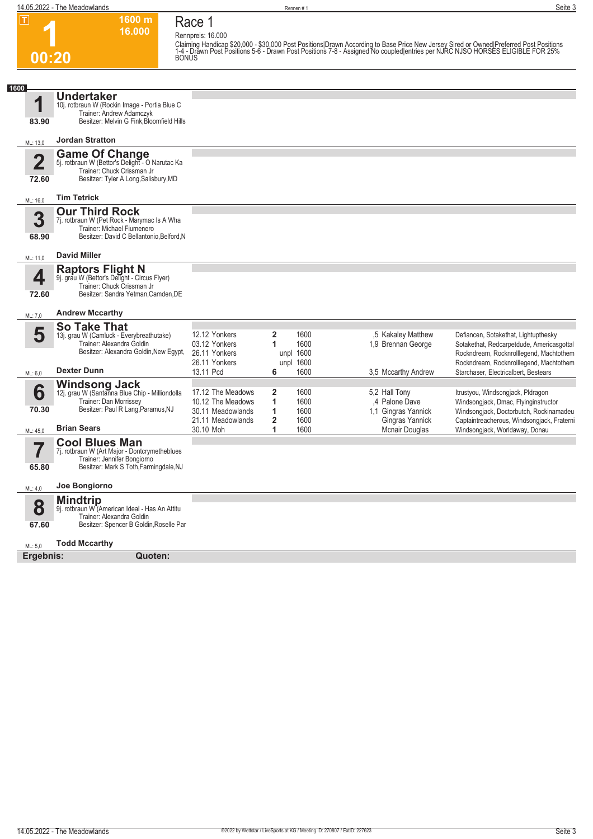**1600 m**

**Race 1**

| .                                | ווו טטטו<br>16.000                                                                                                                                     | Race I<br>Rennpreis: 16.000                                                      |                                                                        |                                                                          |                                                                                                                                                                                                                                     |
|----------------------------------|--------------------------------------------------------------------------------------------------------------------------------------------------------|----------------------------------------------------------------------------------|------------------------------------------------------------------------|--------------------------------------------------------------------------|-------------------------------------------------------------------------------------------------------------------------------------------------------------------------------------------------------------------------------------|
| 00:20                            | <b>BONUS</b>                                                                                                                                           |                                                                                  |                                                                        |                                                                          | Claiming Handicap \$20,000 - \$30,000 Post Positions Drawn According to Base Price New Jersey Sired or Owned Preferred Post Positions<br>1-4 - Drawn Post Positions 5-6 - Drawn Post Positions 7-8 - Assigned No coupled entries pe |
|                                  |                                                                                                                                                        |                                                                                  |                                                                        |                                                                          |                                                                                                                                                                                                                                     |
| 1600<br>1<br>83.90               | <b>Undertaker</b><br>10j. rotbraun W (Rockin Image - Portia Blue C<br>Trainer: Andrew Adamczyk<br>Besitzer: Melvin G Fink, Bloomfield Hills            |                                                                                  |                                                                        |                                                                          |                                                                                                                                                                                                                                     |
| ML: 13,0                         | <b>Jordan Stratton</b>                                                                                                                                 |                                                                                  |                                                                        |                                                                          |                                                                                                                                                                                                                                     |
| $\overline{\mathbf{2}}$<br>72.60 | <b>Game Of Change</b><br>5j. rotbraun W (Bettor's Delight - O Narutac Ka<br>Trainer: Chuck Crissman Jr<br>Besitzer: Tyler A Long, Salisbury, MD        |                                                                                  |                                                                        |                                                                          |                                                                                                                                                                                                                                     |
| ML: 16,0                         | <b>Tim Tetrick</b>                                                                                                                                     |                                                                                  |                                                                        |                                                                          |                                                                                                                                                                                                                                     |
| 3<br>68.90                       | <b>Our Third Rock</b><br>7j. rotbraun W (Pet Rock - Marymac Is A Wha<br>Trainer: Michael Fiumenero<br>Besitzer: David C Bellantonio, Belford, N        |                                                                                  |                                                                        |                                                                          |                                                                                                                                                                                                                                     |
| ML: 11,0                         | <b>David Miller</b>                                                                                                                                    |                                                                                  |                                                                        |                                                                          |                                                                                                                                                                                                                                     |
| 4<br>72.60                       | Raptors Flight N<br>9j. grau W (Bettor's Delight - Circus Flyer)<br>Trainer: Chuck Crissman Jr<br>Besitzer: Sandra Yetman.Camden.DE                    |                                                                                  |                                                                        |                                                                          |                                                                                                                                                                                                                                     |
| ML: 7,0                          | <b>Andrew Mccarthy</b>                                                                                                                                 |                                                                                  |                                                                        |                                                                          |                                                                                                                                                                                                                                     |
| 5                                | <b>So Take That</b><br>13j. grau W (Camluck - Everybreathutake)<br>Trainer: Alexandra Goldin<br>Besitzer: Alexandra Goldin, New Egypt,                 | 12.12 Yonkers<br>03.12 Yonkers<br>26.11 Yonkers<br>26.11 Yonkers                 | 2<br>1600<br>1600<br>1<br>unpl 1600<br>unpl 1600                       | ,5 Kakaley Matthew<br>1,9 Brennan George                                 | Defiancen, Sotakethat, Lightupthesky<br>Sotakethat, Redcarpetdude, Americasgottal<br>Rockndream, Rocknrolllegend, Machtothem<br>Rockndream, Rocknrolllegend, Machtothem                                                             |
| ML: 6,0                          | <b>Dexter Dunn</b>                                                                                                                                     | 13.11 Pcd                                                                        | 1600<br>6                                                              | 3,5 Mccarthy Andrew                                                      | Starchaser, Electricalbert, Bestears                                                                                                                                                                                                |
| 6<br>70.30                       | <b>Windsong Jack</b><br>12j. grau W (Santanna Blue Chip - Milliondolla<br>Trainer: Dan Morrissey<br>Besitzer: Paul R Lang, Paramus, NJ                 | 17.12 The Meadows<br>10.12 The Meadows<br>30.11 Meadowlands<br>21.11 Meadowlands | 2<br>1600<br>1<br>1600<br>1600<br>1<br>$\overline{\mathbf{2}}$<br>1600 | 5,2 Hall Tony<br>4 Palone Dave<br>1,1 Gingras Yannick<br>Gingras Yannick | Itrustyou, Windsongjack, Pldragon<br>Windsongjack, Dmac, Flyinginstructor<br>Windsongjack, Doctorbutch, Rockinamadeu<br>Captaintreacherous, Windsongjack, Fraterni                                                                  |
| ML: 45,0                         | <b>Brian Sears</b>                                                                                                                                     | 30.10 Moh                                                                        | 1<br>1600                                                              | Mcnair Douglas                                                           | Windsongjack, Worldaway, Donau                                                                                                                                                                                                      |
| 65.80                            | <b>Cool Blues Man</b><br>7j. rotbraun W (Art Major - Dontcrymetheblues<br>Trainer: Jennifer Bongiorno<br>Besitzer: Mark S Toth, Farmingdale, NJ        |                                                                                  |                                                                        |                                                                          |                                                                                                                                                                                                                                     |
| ML: 4,0                          | Joe Bongiorno                                                                                                                                          |                                                                                  |                                                                        |                                                                          |                                                                                                                                                                                                                                     |
| 8<br>67.60                       | <b>Mindtrip</b><br>9j. rotbraun W <sup>"</sup> (American Ideal - Has An Attitu<br>Trainer: Alexandra Goldin<br>Besitzer: Spencer B Goldin, Roselle Par |                                                                                  |                                                                        |                                                                          |                                                                                                                                                                                                                                     |
| ML: 5,0                          | <b>Todd Mccarthv</b>                                                                                                                                   |                                                                                  |                                                                        |                                                                          |                                                                                                                                                                                                                                     |
| Ergebnis:                        | Quoten:                                                                                                                                                |                                                                                  |                                                                        |                                                                          |                                                                                                                                                                                                                                     |
|                                  |                                                                                                                                                        |                                                                                  |                                                                        |                                                                          |                                                                                                                                                                                                                                     |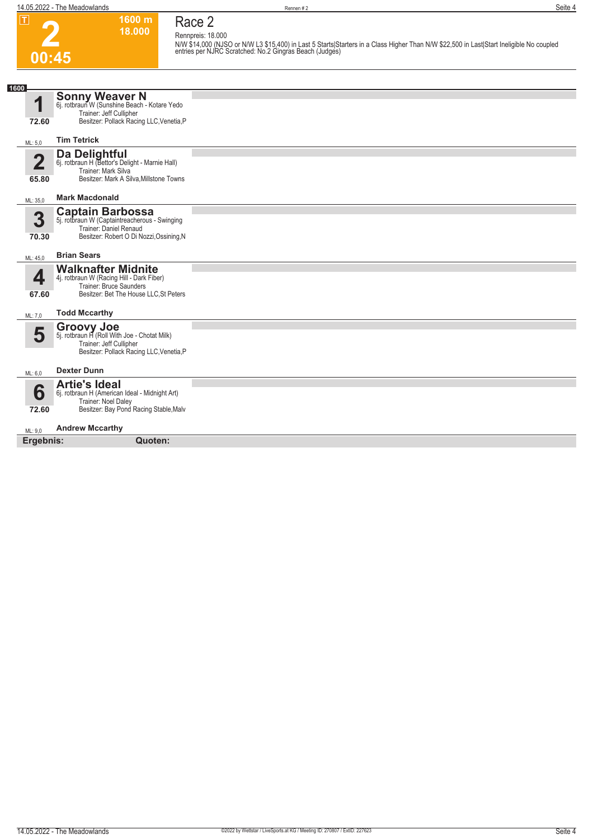**2**

**00:45**

**1600 m 18.000 Race 2**

**Rennpreis: 18.000 N/W \$14,000 (NJSO or N/W L3 \$15,400) in Last 5 Starts|Starters in a Class Higher Than N/W \$22,500 in Last|Start Ineligible No coupled entries per NJRC Scratched: No.2 Gingras Beach (Judges)** 

| 1600                 |                                                                                |  |
|----------------------|--------------------------------------------------------------------------------|--|
| И                    | <b>Sonny Weaver N</b><br>6j. rotbraun W (Sunshine Beach - Kotare Yedo          |  |
| 72.60                | Trainer: Jeff Cullipher<br>Besitzer: Pollack Racing LLC, Venetia, P            |  |
|                      |                                                                                |  |
| ML: 5.0              | <b>Tim Tetrick</b>                                                             |  |
| $\mathbf 2$          | Da Delightful                                                                  |  |
|                      | 6j. rotbraun H (Bettor's Delight - Marnie Hall)<br>Trainer: Mark Silva         |  |
| 65.80                | Besitzer: Mark A Silva, Millstone Towns                                        |  |
| ML: 35,0             | <b>Mark Macdonald</b>                                                          |  |
|                      | <b>Captain Barbossa</b>                                                        |  |
| 3                    | 5j. rotbraun W (Captaintreacherous - Swinging<br><b>Trainer: Daniel Renaud</b> |  |
| 70.30                | Besitzer: Robert O Di Nozzi, Ossining, N                                       |  |
| ML: 45,0             | <b>Brian Sears</b>                                                             |  |
|                      | <b>Walknafter Midnite</b>                                                      |  |
| ◢                    | 4j. rotbraun W (Racing Hill - Dark Fiber)                                      |  |
| 67.60                | Trainer: Bruce Saunders<br>Besitzer: Bet The House LLC, St Peters              |  |
|                      |                                                                                |  |
| ML: 7,0              | <b>Todd Mccarthy</b>                                                           |  |
| 5                    | <b>Groovy Joe</b><br>5j. rotbraun H (Roll With Joe - Chotat Milk)              |  |
|                      | Trainer: Jeff Cullipher                                                        |  |
|                      | Besitzer: Pollack Racing LLC, Venetia, P                                       |  |
| ML: 6,0              | <b>Dexter Dunn</b>                                                             |  |
|                      | <b>Artie's Ideal</b>                                                           |  |
| 6                    | 6j. rotbraun H (American Ideal - Midnight Art)<br>Trainer: Noel Daley          |  |
| 72.60                | Besitzer: Bay Pond Racing Stable, Malv                                         |  |
|                      | <b>Andrew Mccarthy</b>                                                         |  |
| ML: 9,0<br>Ergebnis: | Quoten:                                                                        |  |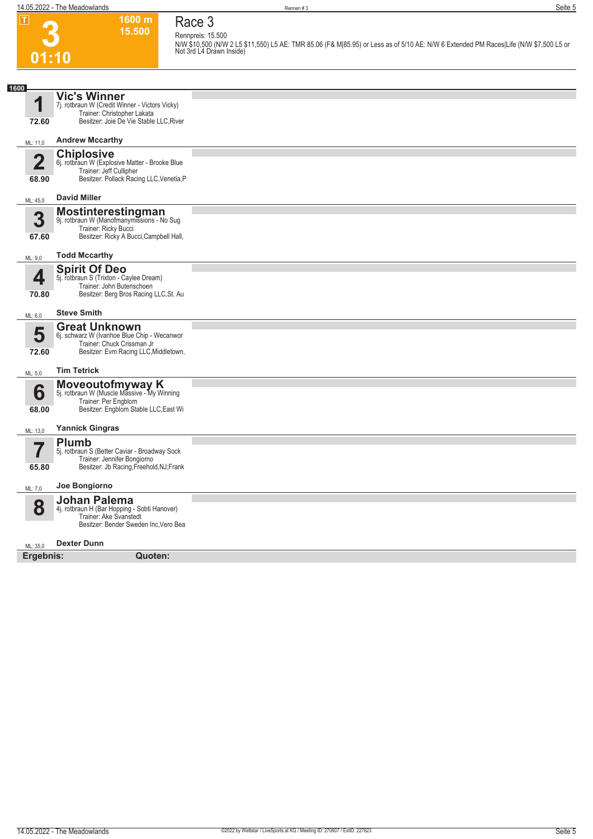**3**

**Race 3 Rennpreis: 15.500**

**01:10 1600 m 15.500** 

**N/W \$10,500 (N/W 2 L5 \$11,550) L5 AE: TMR 85.06 (F& M|85.95) or Less as of 5/10 AE: N/W 6 Extended PM Races|Life (N/W \$7,500 L5 or Not 3rd L4 Drawn Inside)** 

| 1600           |                                                                               |  |
|----------------|-------------------------------------------------------------------------------|--|
|                | <b>Vic's Winner</b>                                                           |  |
|                | 7j. rotbraun W (Credit Winner - Victors Vicky)<br>Trainer: Christopher Lakata |  |
| 72.60          | Besitzer: Joie De Vie Stable LLC, River                                       |  |
| ML: 11,0       | <b>Andrew Mccarthy</b>                                                        |  |
|                | <b>Chiplosive</b>                                                             |  |
| $\overline{2}$ | 6j. rotbraun W (Explosive Matter - Brooke Blue<br>Trainer: Jeff Cullipher     |  |
| 68.90          | Besitzer: Pollack Racing LLC, Venetia, P                                      |  |
| ML: 45,0       | <b>David Miller</b>                                                           |  |
| 3              | <b>Mostinterestingman</b><br>9j. rotbraun W (Manofmanymissions - No Sug       |  |
|                | Trainer: Ricky Bucci                                                          |  |
| 67.60          | Besitzer: Ricky A Bucci, Campbell Hall,                                       |  |
| ML: 9,0        | <b>Todd Mccarthy</b>                                                          |  |
|                | <b>Spirit Of Deo</b>                                                          |  |
| 4              | 5j. rotbraun S (Trixton - Caylee Dream)<br>Trainer: John Butenschoen          |  |
| 70.80          | Besitzer: Berg Bros Racing LLC, St. Au                                        |  |
| ML: 6,0        | <b>Steve Smith</b>                                                            |  |
|                | <b>Great Unknown</b>                                                          |  |
| 5              | 6j. schwarz W (Ivanhoe Blue Chip - Wecanwor<br>Trainer: Chuck Crissman Jr     |  |
| 72.60          | Besitzer: Evm Racing LLC, Middletown,                                         |  |
| ML: 5,0        | <b>Tim Tetrick</b>                                                            |  |
|                |                                                                               |  |
| 6              | <b>Moveoutofmyway K</b><br>5j. rotbraun W (Muscle Massive - My Winning        |  |
| 68.00          | Trainer: Per Engblom<br>Besitzer: Engblom Stable LLC, East Wi                 |  |
|                |                                                                               |  |
| ML: 13,0       | <b>Yannick Gingras</b>                                                        |  |
| 7              | <b>Plumb</b>                                                                  |  |
|                | 5j. rotbraun S (Better Caviar - Broadway Sock<br>Trainer: Jennifer Bongiorno  |  |
| 65.80          | Besitzer: Jb Racing, Freehold, NJ; Frank                                      |  |
| ML: 7,0        | Joe Bongiorno                                                                 |  |
|                | <b>Johan Palema</b>                                                           |  |
| 8              | 4j. rotbraun H (Bar Hopping - Sobti Hanover)<br>Trainer: Ake Svanstedt        |  |
|                | Besitzer: Bender Sweden Inc, Vero Bea                                         |  |
| ML: 35.0       | <b>Dexter Dunn</b>                                                            |  |
| Ergebnis:      | Quoten:                                                                       |  |
|                |                                                                               |  |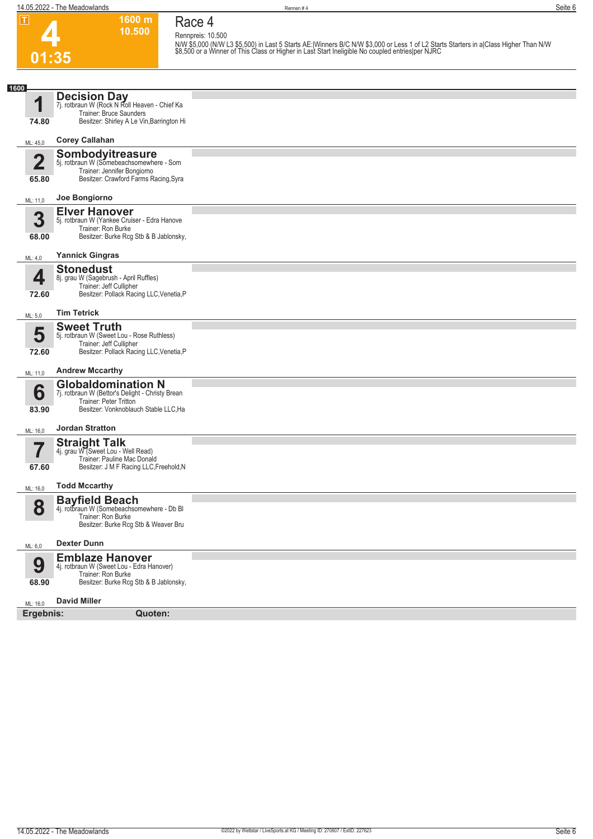

#### **Race 4 Rennpreis: 10.500**

**1600 m 10.500** 

N/W \$5,000 (N/W L3 \$5,500) in Last 5 Starts AE:|Winners B/C N/W \$3,000 or Less 1 of L2 Starts Starters in a|Class Higher Than N/W<br>\$8,500 or a Winner of This Class or Higher in Last Start Ineligible No coupled entries|per N

| 1600           |                                                                                                                                      |  |
|----------------|--------------------------------------------------------------------------------------------------------------------------------------|--|
| 4              | <b>Decision Day</b><br>7j. rotbraun W (Rock N Roll Heaven - Chief Ka                                                                 |  |
| 74.80          | Trainer: Bruce Saunders<br>Besitzer: Shirley A Le Vin, Barrington Hi                                                                 |  |
| ML: 45,0       | <b>Corey Callahan</b>                                                                                                                |  |
|                | Sombodyitreasure                                                                                                                     |  |
| $\overline{2}$ | 5j. rotbraun W (Somebeachsomewhere - Som<br>Trainer: Jennifer Bongiorno                                                              |  |
| 65.80          | Besitzer: Crawford Farms Racing, Syra                                                                                                |  |
| ML: 11,0       | Joe Bongiorno                                                                                                                        |  |
| 3<br>68.00     | <b>Elver Hanover</b><br>5j. rotbraun W (Yankee Cruiser - Edra Hanove<br>Trainer: Ron Burke<br>Besitzer: Burke Rcg Stb & B Jablonsky, |  |
| ML: 4,0        | <b>Yannick Gingras</b>                                                                                                               |  |
|                |                                                                                                                                      |  |
| 4              | <b>Stonedust</b><br>8j. grau W (Sagebrush - April Ruffles)<br>Trainer: Jeff Cullipher                                                |  |
| 72.60          | Besitzer: Pollack Racing LLC, Venetia, P                                                                                             |  |
| ML: 5,0        | <b>Tim Tetrick</b>                                                                                                                   |  |
|                | <b>Sweet Truth</b>                                                                                                                   |  |
| 5              | 5j. rotbraun W (Sweet Lou - Rose Ruthless)<br>Trainer: Jeff Cullipher                                                                |  |
| 72.60          | Besitzer: Pollack Racing LLC, Venetia, P                                                                                             |  |
| ML: 11,0       | <b>Andrew Mccarthy</b>                                                                                                               |  |
|                | <b>Globaldomination N</b>                                                                                                            |  |
| 6              | 7j. rotbraun W (Bettor's Delight - Christy Brean<br><b>Trainer: Peter Tritton</b>                                                    |  |
| 83.90          | Besitzer: Vonknoblauch Stable LLC, Ha                                                                                                |  |
| ML: 16,0       | <b>Jordan Stratton</b>                                                                                                               |  |
| 7              | <b>Straight Talk</b>                                                                                                                 |  |
|                | 4j. grau W (Sweet Lou - Well Read)<br>Trainer: Pauline Mac Donald                                                                    |  |
| 67.60          | Besitzer: J M F Racing LLC, Freehold, N                                                                                              |  |
| ML: 16,0       | <b>Todd Mccarthy</b>                                                                                                                 |  |
| 8              | <b>Bayfield Beach</b><br>4j. rotbraun W (Somebeachsomewhere - Db BI<br>Trainer: Ron Burke<br>Besitzer: Burke Rcq Stb & Weaver Bru    |  |
| ML: 6,0        | <b>Dexter Dunn</b>                                                                                                                   |  |
| 9<br>68.90     | <b>Emblaze Hanover</b><br>4j. rotbraun W (Sweet Lou - Edra Hanover)<br>Trainer: Ron Burke<br>Besitzer: Burke Rcg Stb & B Jablonsky,  |  |
| ML: 16,0       | <b>David Miller</b>                                                                                                                  |  |
| Ergebnis:      | Quoten:                                                                                                                              |  |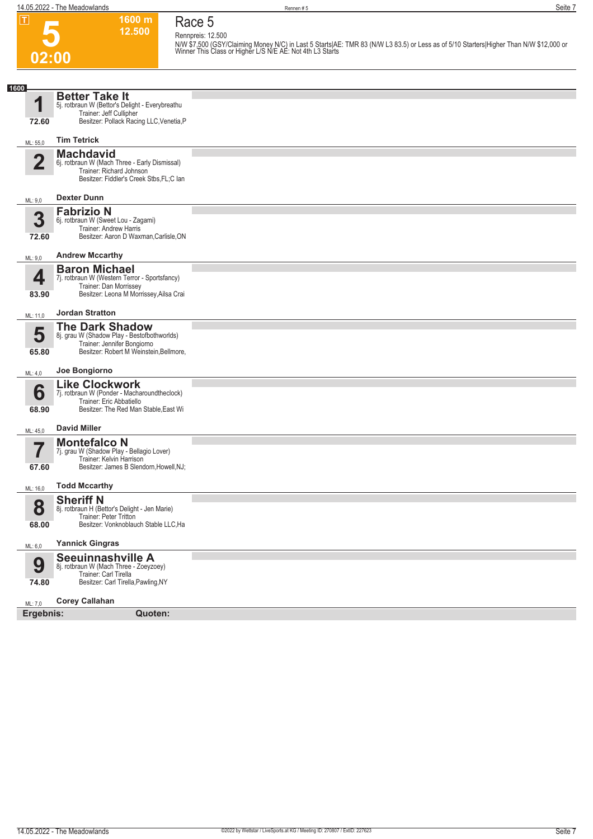**5**

**1600 m 12.500 Race 5 Rennpreis: 12.500**

|                         |                                                                                                                                                 | N/W \$7,500 (GSY/Claiming Money N/C) in Last 5 Starts AE: TMR 83 (N/W L3 83.5) or Less as of 5/10 Starters Higher Than N/W \$12,000 or<br>Winner This Class or Higher L/S N/E AE: Not 4th L3 Starts |
|-------------------------|-------------------------------------------------------------------------------------------------------------------------------------------------|-----------------------------------------------------------------------------------------------------------------------------------------------------------------------------------------------------|
| 02:00                   |                                                                                                                                                 |                                                                                                                                                                                                     |
| 1600                    |                                                                                                                                                 |                                                                                                                                                                                                     |
| 1<br>72.60              | <b>Better Take It</b><br>5j. rotbraun W (Bettor's Delight - Everybreathu<br>Trainer: Jeff Cullipher<br>Besitzer: Pollack Racing LLC, Venetia, P |                                                                                                                                                                                                     |
| ML: 55,0                | <b>Tim Tetrick</b>                                                                                                                              |                                                                                                                                                                                                     |
| $\overline{\mathbf{2}}$ | <b>Machdavid</b><br>6j. rotbraun W (Mach Three - Early Dismissal)<br>Trainer: Richard Johnson<br>Besitzer: Fiddler's Creek Stbs, FL; Clan       |                                                                                                                                                                                                     |
| ML: 9,0                 | <b>Dexter Dunn</b>                                                                                                                              |                                                                                                                                                                                                     |
| 3<br>72.60              | <b>Fabrizio N</b><br>6j. rotbraun W (Sweet Lou - Zagami)<br>Trainer: Andrew Harris<br>Besitzer: Aaron D Waxman, Carlisle, ON                    |                                                                                                                                                                                                     |
| ML: 9,0                 | <b>Andrew Mccarthy</b>                                                                                                                          |                                                                                                                                                                                                     |
| 4<br>83.90              | <b>Baron Michael</b><br>7j. rotbraun W (Western Terror - Sportsfancy)<br>Trainer: Dan Morrissey<br>Besitzer: Leona M Morrissey, Ailsa Crai      |                                                                                                                                                                                                     |
| ML: 11,0                | <b>Jordan Stratton</b>                                                                                                                          |                                                                                                                                                                                                     |
| 5<br>65.80              | <b>The Dark Shadow</b><br>8j. grau W (Shadow Play - Bestofbothworlds)<br>Trainer: Jennifer Bongiorno<br>Besitzer: Robert M Weinstein, Bellmore, |                                                                                                                                                                                                     |
| ML: 4,0                 | Joe Bongiorno                                                                                                                                   |                                                                                                                                                                                                     |
| 6<br>68.90              | <b>Like Clockwork</b><br>7j. rotbraun W (Ponder - Macharoundtheclock)<br>Trainer: Eric Abbatiello<br>Besitzer: The Red Man Stable, East Wi      |                                                                                                                                                                                                     |
| ML: 45,0                | <b>David Miller</b>                                                                                                                             |                                                                                                                                                                                                     |
| 67.60                   | <b>Montefalco N</b><br>7j. grau W (Shadow Play - Bellagio Lover)<br>Trainer: Kelvin Harrison<br>Besitzer: James B Slendorn, Howell, NJ;         |                                                                                                                                                                                                     |
| ML: 16.0                | <b>Todd Mccarthy</b>                                                                                                                            |                                                                                                                                                                                                     |
| 8<br>68.00              | <b>Sheriff N</b><br>8j. rotbraun H (Bettor's Delight - Jen Marie)<br>Trainer: Peter Tritton<br>Besitzer: Vonknoblauch Stable LLC, Ha            |                                                                                                                                                                                                     |
| ML: 6,0                 | <b>Yannick Gingras</b>                                                                                                                          |                                                                                                                                                                                                     |
| 9<br>74.80              | Seeuinnashville A<br>8j. rotbraun W (Mach Three - Zoeyzoey)<br>Trainer: Carl Tirella<br>Besitzer: Carl Tirella, Pawling, NY                     |                                                                                                                                                                                                     |
| ML: 7,0                 | <b>Corey Callahan</b>                                                                                                                           |                                                                                                                                                                                                     |
| Ergebnis:               | Quoten:                                                                                                                                         |                                                                                                                                                                                                     |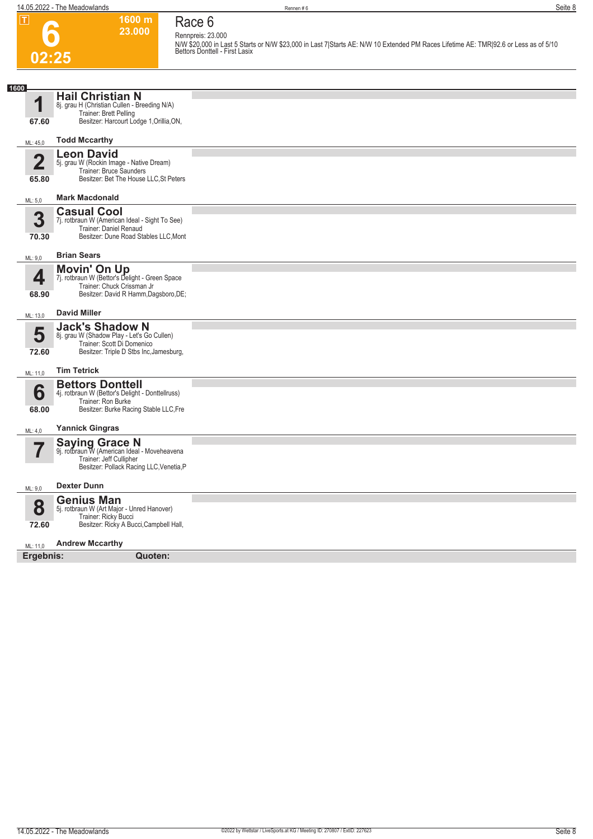**Race 6 Rennpreis: 23.000**

**6 02:25**

**1600 m 23.000** 

**N/W \$20,000 in Last 5 Starts or N/W \$23,000 in Last 7|Starts AE: N/W 10 Extended PM Races Lifetime AE: TMR|92.6 or Less as of 5/10 Bettors Donttell - First Lasix** 

| 1600                             |                                                                                                                                               |  |
|----------------------------------|-----------------------------------------------------------------------------------------------------------------------------------------------|--|
| И                                | <b>Hail Christian N</b><br>8j. grau H (Christian Cullen - Breeding N/A)                                                                       |  |
| 67.60                            | Trainer: Brett Pelling<br>Besitzer: Harcourt Lodge 1, Orillia, ON,                                                                            |  |
| ML: 45,0                         | <b>Todd Mccarthy</b>                                                                                                                          |  |
| $\overline{\mathbf{2}}$<br>65.80 | <b>Leon David</b><br>5j. grau W (Rockin Image - Native Dream)<br>Trainer: Bruce Saunders<br>Besitzer: Bet The House LLC, St Peters            |  |
| ML: 5,0                          | <b>Mark Macdonald</b>                                                                                                                         |  |
| 3<br>70.30                       | <b>Casual Cool</b><br>7j. rotbraun W (American Ideal - Sight To See)<br>Trainer: Daniel Renaud<br>Besitzer: Dune Road Stables LLC, Mont       |  |
| ML: 9,0                          | <b>Brian Sears</b>                                                                                                                            |  |
| 4<br>68.90                       | <b>Movin' On Up</b><br>7j. rotbraun W (Bettor's Delight - Green Space<br>Trainer: Chuck Crissman Jr<br>Besitzer: David R Hamm, Dagsboro, DE;  |  |
| ML: 13,0                         | <b>David Miller</b>                                                                                                                           |  |
| 5<br>72.60                       | <b>Jack's Shadow N</b><br>8j. grau W (Shadow Play - Let's Go Cullen)<br>Trainer: Scott Di Domenico<br>Besitzer: Triple D Stbs Inc, Jamesburg, |  |
| ML: 11,0                         | <b>Tim Tetrick</b>                                                                                                                            |  |
| 6<br>68.00                       | <b>Bettors Donttell</b><br>4j. rotbraun W (Bettor's Delight - Donttellruss)<br>Trainer: Ron Burke<br>Besitzer: Burke Racing Stable LLC, Fre   |  |
| ML: 4,0                          | <b>Yannick Gingras</b>                                                                                                                        |  |
|                                  | <b>Saying Grace N</b><br>9j. rotbraun W (American Ideal - Moveheavena<br>Trainer: Jeff Cullipher<br>Besitzer: Pollack Racing LLC, Venetia, P  |  |
| ML: 9,0                          | <b>Dexter Dunn</b>                                                                                                                            |  |
| $\bullet$<br>Ŏ<br>72.60          | <b>Genius Man</b><br>5j. rotbraun W (Art Major - Unred Hanover)<br>Trainer: Ricky Bucci<br>Besitzer: Ricky A Bucci, Campbell Hall,            |  |
| ML: 11,0                         | <b>Andrew Mccarthy</b>                                                                                                                        |  |
| Ergebnis:                        | Quoten:                                                                                                                                       |  |
|                                  |                                                                                                                                               |  |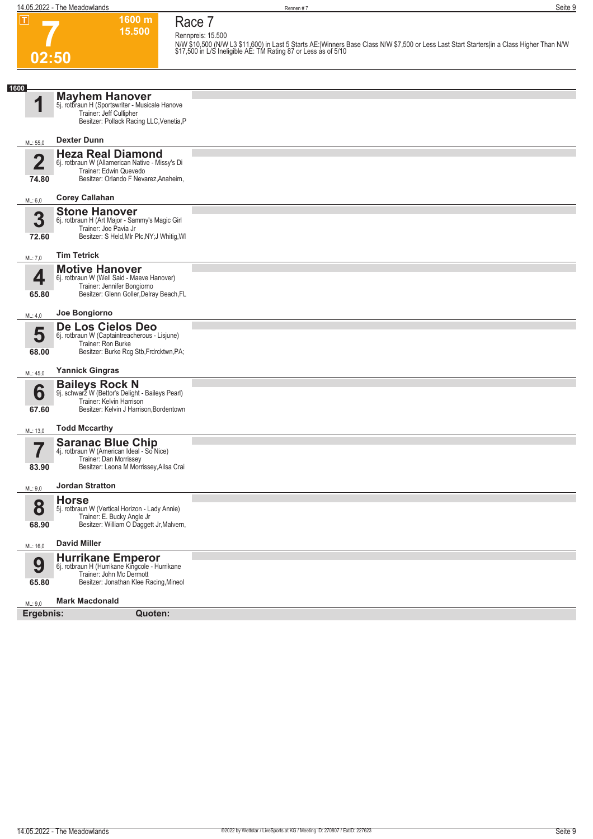#### **1600 m Race 7 Rennpreis: 15.500**

**15.500** 

**7 02:50**

|                                  |                                                                                                                                                  | N/W \$10,500 (N/W L3 \$11,600) in Last 5 Starts AE: Winners Base Class N/W \$7,500 or Less Last Start Starters in a Class Higher Than N/W<br>\$17,500 in L/S Ineligible AE: TM Rating 87 or Less as of 5/10 |
|----------------------------------|--------------------------------------------------------------------------------------------------------------------------------------------------|-------------------------------------------------------------------------------------------------------------------------------------------------------------------------------------------------------------|
| 02:50                            |                                                                                                                                                  |                                                                                                                                                                                                             |
|                                  |                                                                                                                                                  |                                                                                                                                                                                                             |
| 1600<br>4                        | <b>Mayhem Hanover</b><br>5j. rotbraun H (Sportswriter - Musicale Hanove<br>Trainer: Jeff Cullipher<br>Besitzer: Pollack Racing LLC, Venetia, P   |                                                                                                                                                                                                             |
| ML: 55,0                         | <b>Dexter Dunn</b>                                                                                                                               |                                                                                                                                                                                                             |
| $\overline{\mathbf{2}}$<br>74.80 | <b>Heza Real Diamond</b><br>6j. rotbraun W (Allamerican Native - Missy's Di<br>Trainer: Edwin Quevedo<br>Besitzer: Orlando F Nevarez, Anaheim,   |                                                                                                                                                                                                             |
| ML: 6,0                          | <b>Corey Callahan</b>                                                                                                                            |                                                                                                                                                                                                             |
| 3<br>72.60                       | <b>Stone Hanover</b><br>6j. rotbraun H (Art Major - Sammy's Magic Girl<br>Trainer: Joe Pavia Jr<br>Besitzer: S Held, Mlr Plc, NY; J Whitig, WI   |                                                                                                                                                                                                             |
| ML: 7,0                          | <b>Tim Tetrick</b>                                                                                                                               |                                                                                                                                                                                                             |
| 4<br>65.80                       | <b>Motive Hanover</b><br>6j. rotbraun W (Well Said - Maeve Hanover)<br>Trainer: Jennifer Bongiorno<br>Besitzer: Glenn Goller, Delray Beach, FL   |                                                                                                                                                                                                             |
| ML: 4,0                          | Joe Bongiorno                                                                                                                                    |                                                                                                                                                                                                             |
| 5<br>68.00                       | De Los Cielos Deo<br>6j. rotbraun W (Captaintreacherous - Lisjune)<br>Trainer: Ron Burke<br>Besitzer: Burke Rcg Stb, Frdrcktwn, PA;              |                                                                                                                                                                                                             |
| ML: 45,0                         | <b>Yannick Gingras</b>                                                                                                                           |                                                                                                                                                                                                             |
| 6<br>67.60                       | <b>Baileys Rock N</b><br>9j. schwarz W (Bettor's Delight - Baileys Pearl)<br>Trainer: Kelvin Harrison<br>Besitzer: Kelvin J Harrison, Bordentown |                                                                                                                                                                                                             |
| ML: 13,0                         | <b>Todd Mccarthy</b>                                                                                                                             |                                                                                                                                                                                                             |
| 83.90                            | <b>Saranac Blue Chip</b><br>4j. rotbraun W (American Ideal - So Nice)<br>Trainer: Dan Morrissey<br>Besitzer: Leona M Morrissey, Ailsa Crai       |                                                                                                                                                                                                             |
| ML: 9.0                          | <b>Jordan Stratton</b>                                                                                                                           |                                                                                                                                                                                                             |
| 8<br>68.90                       | <b>Horse</b><br>5j. rotbraun W (Vertical Horizon - Lady Annie)<br>Trainer: E. Bucky Angle Jr<br>Besitzer: William O Daggett Jr, Malvern,         |                                                                                                                                                                                                             |
|                                  | <b>David Miller</b>                                                                                                                              |                                                                                                                                                                                                             |
| ML: 16,0                         | Hurrikane Emperor<br>6j. rotbraun H (Hurrikane Kingcole - Hurrikane                                                                              |                                                                                                                                                                                                             |
| 9<br>65.80                       | Trainer: John Mc Dermott<br>Besitzer: Jonathan Klee Racing, Mineol                                                                               |                                                                                                                                                                                                             |
| ML: 9,0                          | <b>Mark Macdonald</b>                                                                                                                            |                                                                                                                                                                                                             |
| Ergebnis:                        | Quoten:                                                                                                                                          |                                                                                                                                                                                                             |

**Ergebnis: Quoten:**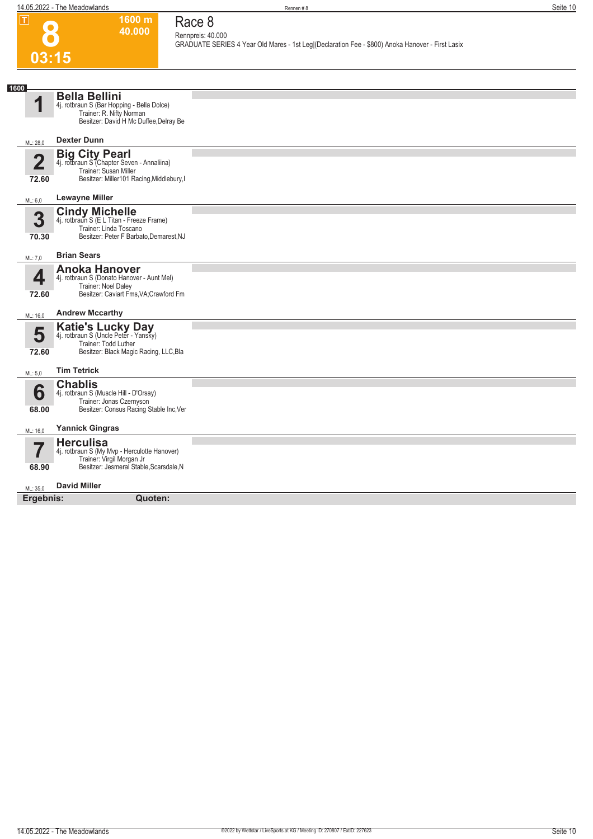## **8 03:15**

### **Race 8 Rennpreis: 40.000**

**1600 m 40.000** 

**GRADUATE SERIES 4 Year Old Mares - 1st Leg|(Declaration Fee - \$800) Anoka Hanover - First Lasix** 

| 1600                    |                                                                                                                                           |  |
|-------------------------|-------------------------------------------------------------------------------------------------------------------------------------------|--|
| ◢                       | <b>Bella Bellini</b><br>4j. rotbraun S (Bar Hopping - Bella Dolce)<br>Trainer: R. Nifty Norman<br>Besitzer: David H Mc Duffee, Delray Be  |  |
| ML: 28,0                | <b>Dexter Dunn</b>                                                                                                                        |  |
| $\overline{2}$<br>72.60 | <b>Big City Pearl</b><br>4j. rotbraun S (Chapter Seven - Annaliina)<br>Trainer: Susan Miller<br>Besitzer: Miller101 Racing, Middlebury, I |  |
| ML: 6,0                 | <b>Lewayne Miller</b>                                                                                                                     |  |
| 3<br>70.30              | <b>Cindy Michelle</b><br>4j. rotbraun S (E L Titan - Freeze Frame)<br>Trainer: Linda Toscano<br>Besitzer: Peter F Barbato, Demarest, NJ   |  |
| ML: 7,0                 | <b>Brian Sears</b>                                                                                                                        |  |
| 4<br>72.60              | <b>Anoka Hanover</b><br>4j. rotbraun S (Donato Hanover - Aunt Mel)<br>Trainer: Noel Daley<br>Besitzer: Caviart Fms, VA; Crawford Fm       |  |
| ML: 16,0                | <b>Andrew Mccarthy</b>                                                                                                                    |  |
| 5<br>72.60              | Katie's Lucky Day<br>4j. rotbraun S (Uncle Peter - Yansky)<br>Trainer: Todd Luther<br>Besitzer: Black Magic Racing, LLC, Bla              |  |
| ML: 5,0                 | <b>Tim Tetrick</b>                                                                                                                        |  |
| 6<br>68.00              | <b>Chablis</b><br>4j. rotbraun S (Muscle Hill - D'Orsay)<br>Trainer: Jonas Czernyson<br>Besitzer: Consus Racing Stable Inc, Ver           |  |
| ML: 16,0                | <b>Yannick Gingras</b>                                                                                                                    |  |
| 68.90                   | <b>Herculisa</b><br>4j. rotbraun S (My Mvp - Herculotte Hanover)<br>Trainer: Virgil Morgan Jr<br>Besitzer: Jesmeral Stable, Scarsdale, N  |  |
| ML: 35,0                | <b>David Miller</b>                                                                                                                       |  |
| Ergebnis:               | Quoten:                                                                                                                                   |  |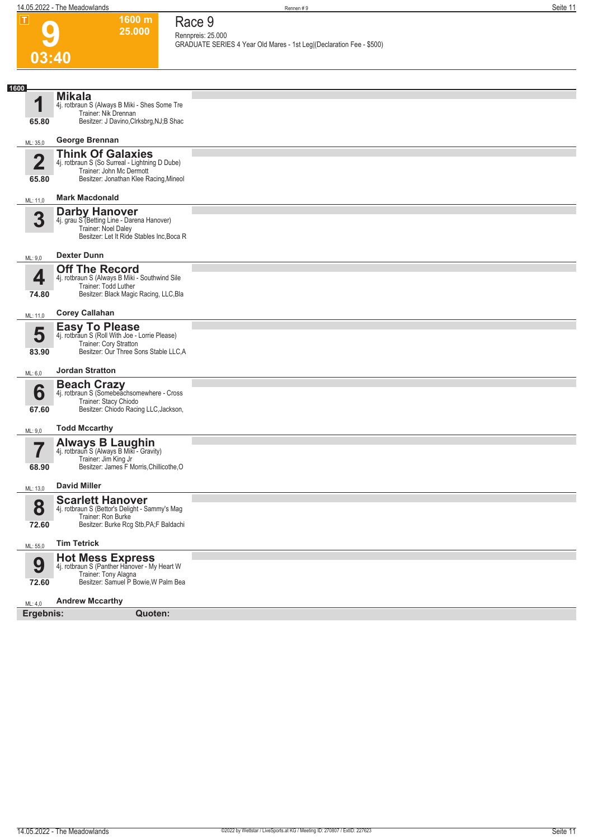|      | $\overline{\mathbf{L}}$ | 1600 m<br>25.000                                                                                                                                                      | Race 9 |                                                                                           |  |  |  |  |
|------|-------------------------|-----------------------------------------------------------------------------------------------------------------------------------------------------------------------|--------|-------------------------------------------------------------------------------------------|--|--|--|--|
|      |                         |                                                                                                                                                                       |        | Rennpreis: 25.000<br>GRADUATE SERIES 4 Year Old Mares - 1st Leg (Declaration Fee - \$500) |  |  |  |  |
|      | 03:40                   |                                                                                                                                                                       |        |                                                                                           |  |  |  |  |
|      |                         |                                                                                                                                                                       |        |                                                                                           |  |  |  |  |
| 1600 | 1<br>65.80              | <b>Mikala</b><br>4j. rotbraun S (Always B Miki - Shes Some Tre<br>Trainer: Nik Drennan<br>Besitzer: J Davino, Clrksbrg, NJ; B Shac                                    |        |                                                                                           |  |  |  |  |
|      | ML: 35,0                | George Brennan                                                                                                                                                        |        |                                                                                           |  |  |  |  |
|      | $\overline{2}$<br>65.80 | <b>Think Of Galaxies</b><br>4j. rotbraun S (So Surreal - Lightning D Dube)<br>Trainer: John Mc Dermott<br>Besitzer: Jonathan Klee Racing, Mineol                      |        |                                                                                           |  |  |  |  |
|      | ML: 11,0                | <b>Mark Macdonald</b><br><b>Darby Hanover</b>                                                                                                                         |        |                                                                                           |  |  |  |  |
|      | 3                       | 4j. grau S <sup>7</sup> Betting Line - Darena Hanover)<br>Trainer: Noel Daley<br>Besitzer: Let It Ride Stables Inc, Boca R                                            |        |                                                                                           |  |  |  |  |
|      | ML: 9,0                 | <b>Dexter Dunn</b>                                                                                                                                                    |        |                                                                                           |  |  |  |  |
|      | 4<br>74.80              | <b>Off The Record</b><br>4j. rotbraun S (Always B Miki - Southwind Sile<br>Trainer: Todd Luther<br>Besitzer: Black Magic Racing, LLC, Bla                             |        |                                                                                           |  |  |  |  |
|      | ML: 11,0                | <b>Corey Callahan</b>                                                                                                                                                 |        |                                                                                           |  |  |  |  |
|      | 5<br>83.90              | <b>Easy To Please</b><br>4j. rotbraun S (Roll With Joe - Lorrie Please)<br>Trainer: Cory Stratton<br>Besitzer: Our Three Sons Stable LLC, A<br><b>Jordan Stratton</b> |        |                                                                                           |  |  |  |  |
|      | ML: 6,0                 |                                                                                                                                                                       |        |                                                                                           |  |  |  |  |
|      | 6<br>67.60              | <b>Beach Crazy</b><br>4j. rotbraun S (Somebeachsomewhere - Cross<br>Trainer: Stacy Chiodo<br>Besitzer: Chiodo Racing LLC, Jackson,                                    |        |                                                                                           |  |  |  |  |
|      | ML: 9,0                 | <b>Todd Mccarthy</b>                                                                                                                                                  |        |                                                                                           |  |  |  |  |
|      | 68.90                   | <b>Always B Laughin</b><br>4j. rotbraun S (Always B Miki - Gravity)<br>Trainer: Jim King Jr<br>Besitzer: James F Morris, Chillicothe, O                               |        |                                                                                           |  |  |  |  |
|      | ML: 13,0                | <b>David Miller</b>                                                                                                                                                   |        |                                                                                           |  |  |  |  |
|      | 8<br>72.60              | <b>Scarlett Hanover</b><br>4j. rotbraun S (Bettor's Delight - Sammy's Mag<br>Trainer: Ron Burke<br>Besitzer: Burke Rcg Stb, PA; F Baldachi                            |        |                                                                                           |  |  |  |  |
|      | ML: 55,0                | <b>Tim Tetrick</b>                                                                                                                                                    |        |                                                                                           |  |  |  |  |
|      | 9<br>72.60              | <b>Hot Mess Express</b><br>4j. rotbraun S (Panther Hanover - My Heart W<br>Trainer: Tony Alagna<br>Besitzer: Samuel P Bowie, W Palm Bea                               |        |                                                                                           |  |  |  |  |
|      | ML: 4,0                 | <b>Andrew Mccarthy</b>                                                                                                                                                |        |                                                                                           |  |  |  |  |
|      | Ergebnis:               | Quoten:                                                                                                                                                               |        |                                                                                           |  |  |  |  |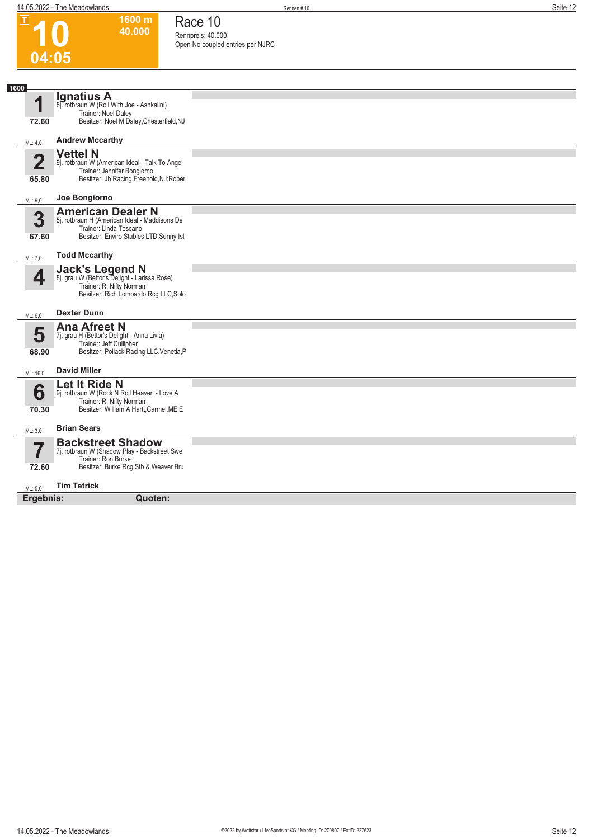**1600 m 40.000**  **Race 10 Rennpreis: 40.000**

**Open No coupled entries per NJRC** 

**10**

 $\boxed{1}$ 

| 04:05                            |                                                                                                                                                |  |  |  |  |  |
|----------------------------------|------------------------------------------------------------------------------------------------------------------------------------------------|--|--|--|--|--|
| 1600                             |                                                                                                                                                |  |  |  |  |  |
| 1<br>72.60                       | <b>Ignatius A</b><br>8j. rotbraun W (Roll With Joe - Ashkalini)<br>Trainer: Noel Daley<br>Besitzer: Noel M Daley, Chesterfield, NJ             |  |  |  |  |  |
| ML: 4,0                          | <b>Andrew Mccarthy</b>                                                                                                                         |  |  |  |  |  |
| $\overline{\mathbf{2}}$<br>65.80 | <b>Vettel N</b><br>9j. rotbraun W (American Ideal - Talk To Angel<br>Trainer: Jennifer Bongiorno<br>Besitzer: Jb Racing, Freehold, NJ; Rober   |  |  |  |  |  |
| ML: 9,0                          | Joe Bongiorno                                                                                                                                  |  |  |  |  |  |
| 3<br>67.60                       | <b>American Dealer N</b><br>5j. rotbraun H (American Ideal - Maddisons De<br>Trainer: Linda Toscano<br>Besitzer: Enviro Stables LTD, Sunny Isl |  |  |  |  |  |
| ML: 7,0                          | <b>Todd Mccarthy</b>                                                                                                                           |  |  |  |  |  |
| 4                                | <b>Jack's Legend N</b><br>8j. grau W (Bettor's Delight - Larissa Rose)<br>Trainer: R. Nifty Norman<br>Besitzer: Rich Lombardo Rcg LLC, Solo    |  |  |  |  |  |
| ML: 6,0                          | <b>Dexter Dunn</b>                                                                                                                             |  |  |  |  |  |
| 5<br>68.90                       | <b>Ana Afreet N</b><br>7j. grau H (Bettor's Delight - Anna Livia)<br>Trainer: Jeff Cullipher<br>Besitzer: Pollack Racing LLC, Venetia, P       |  |  |  |  |  |
| ML: 16,0                         | <b>David Miller</b>                                                                                                                            |  |  |  |  |  |
| 6<br>70.30                       | Let It Ride N<br>9j. rotbraun W (Rock N Roll Heaven - Love A<br>Trainer: R. Nifty Norman<br>Besitzer: William A Hartt, Carmel, ME; E           |  |  |  |  |  |
| ML: 3,0                          | <b>Brian Sears</b>                                                                                                                             |  |  |  |  |  |
| 7<br>72.60                       | <b>Backstreet Shadow</b><br>7j. rotbraun W (Shadow Play - Backstreet Swe<br>Trainer: Ron Burke<br>Besitzer: Burke Rcg Stb & Weaver Bru         |  |  |  |  |  |
| ML: 5,0                          | <b>Tim Tetrick</b>                                                                                                                             |  |  |  |  |  |
| Ergebnis:                        | Quoten:                                                                                                                                        |  |  |  |  |  |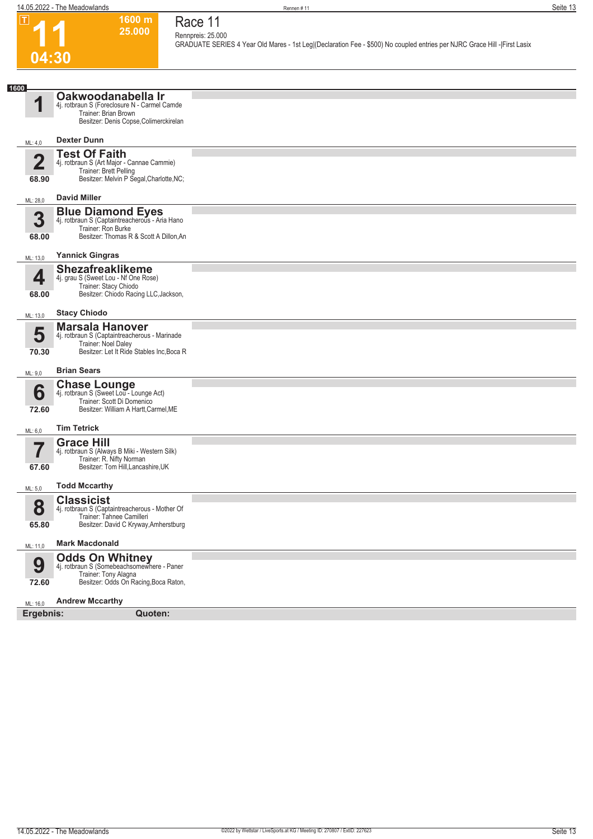**1600 m 25.000** 

**Race 11 Rennpreis: 25.000**

**GRADUATE SERIES 4 Year Old Mares - 1st Leg|(Declaration Fee - \$500) No coupled entries per NJRC Grace Hill -|First Lasix** 



| U4.JU                   |                                                                                                                                             |  |
|-------------------------|---------------------------------------------------------------------------------------------------------------------------------------------|--|
|                         |                                                                                                                                             |  |
| 1600                    |                                                                                                                                             |  |
| 1                       | Oakwoodanabella Ir<br>4j. rotbraun S (Foreclosure N - Carmel Camde<br>Trainer: Brian Brown<br>Besitzer: Denis Copse, Colimerckirelan        |  |
| ML: 4,0                 | <b>Dexter Dunn</b>                                                                                                                          |  |
| $\overline{2}$<br>68.90 | <b>Test Of Faith</b><br>4j. rotbraun S (Art Major - Cannae Cammie)<br>Trainer: Brett Pelling<br>Besitzer: Melvin P Segal, Charlotte, NC;    |  |
| ML: 28,0                | <b>David Miller</b>                                                                                                                         |  |
| 3<br>68.00              | <b>Blue Diamond Eyes</b><br>4j. rotbraun S (Captaintreacherous - Aria Hano<br>Trainer: Ron Burke<br>Besitzer: Thomas R & Scott A Dillon, An |  |
| ML: 13,0                | <b>Yannick Gingras</b>                                                                                                                      |  |
| 4<br>68.00              | <b>Shezafreaklikeme</b><br>4j. grau S (Sweet Lou - Nf One Rose)<br>Trainer: Stacy Chiodo<br>Besitzer: Chiodo Racing LLC, Jackson,           |  |
| ML: 13,0                | <b>Stacy Chiodo</b>                                                                                                                         |  |
| 5<br>70.30              | <b>Marsala Hanover</b><br>4j. rotbraun S (Captaintreacherous - Marinade<br>Trainer: Noel Daley<br>Besitzer: Let It Ride Stables Inc, Boca R |  |
| ML: 9,0                 | <b>Brian Sears</b>                                                                                                                          |  |
| 6<br>72.60              | <b>Chase Lounge</b><br>4j. rotbraun S (Sweet Lou - Lounge Act)<br>Trainer: Scott Di Domenico<br>Besitzer: William A Hartt, Carmel, ME       |  |
| ML: 6,0                 | <b>Tim Tetrick</b>                                                                                                                          |  |
| 7<br>67.60              | <b>Grace Hill</b><br>4j. rotbraun S (Always B Miki - Western Silk)<br>Trainer: R. Nifty Norman<br>Besitzer: Tom Hill, Lancashire, UK        |  |
| ML: 5,0                 | <b>Todd Mccarthy</b>                                                                                                                        |  |
| Ω<br>Ŏ<br>65.80         | <b>Classicist</b><br>4j. rotbraun S (Captaintreacherous - Mother Of<br>Trainer: Tahnee Camilleri<br>Besitzer: David C Kryway, Amherstburg   |  |
| ML: 11,0                | <b>Mark Macdonald</b>                                                                                                                       |  |
| 9<br>72.60              | <b>Odds On Whitney</b><br>4j. rotbraun S (Somebeachsomewhere - Paner<br>Trainer: Tony Alagna<br>Besitzer: Odds On Racing, Boca Raton,       |  |
| ML: 16,0                | <b>Andrew Mccarthy</b>                                                                                                                      |  |
| Ergebnis:               | Quoten:                                                                                                                                     |  |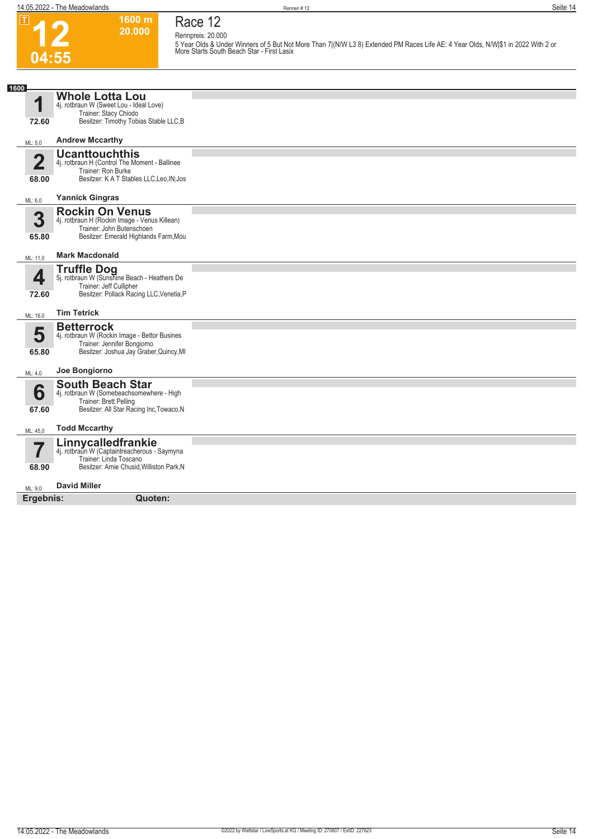$\boxed{1}$ 

**Race 12**

**Rennpreis: 20.000**

**12 04:55** **1600 m 20.000** 

**5 Year Olds & Under Winners of 5 But Not More Than 7|(N/W L3 8) Extended PM Races Life AE: 4 Year Olds, N/W|\$1 in 2022 With 2 or More Starts South Beach Star - First Lasix** 

| 1600                             |                                                                                                                                               |  |
|----------------------------------|-----------------------------------------------------------------------------------------------------------------------------------------------|--|
| и                                | <b>Whole Lotta Lou</b><br>4j. rotbraun W (Sweet Lou - Ideal Love)<br>Trainer: Stacy Chiodo                                                    |  |
| 72.60                            | Besitzer: Timothy Tobias Stable LLC, B                                                                                                        |  |
| ML: 5,0                          | <b>Andrew Mccarthy</b>                                                                                                                        |  |
| $\overline{\mathbf{2}}$<br>68.00 | <b>Ucanttouchthis</b><br>4j. rotbraun H (Control The Moment - Ballinee<br>Trainer: Ron Burke<br>Besitzer: K A T Stables LLC, Leo, IN; Jos     |  |
| ML: 6,0                          | <b>Yannick Gingras</b>                                                                                                                        |  |
| 3<br>65.80                       | <b>Rockin On Venus</b><br>4j. rotbraun H (Rockin Image - Venus Killean)<br>Trainer: John Butenschoen<br>Besitzer: Emerald Highlands Farm, Mou |  |
| ML: 11,0                         | <b>Mark Macdonald</b>                                                                                                                         |  |
| 4<br>72.60                       | <b>Truffle Dog</b><br>5j. rotbraun W (Sunshine Beach - Heathers De<br>Trainer: Jeff Cullipher<br>Besitzer: Pollack Racing LLC, Venetia, P     |  |
| ML: 16,0                         | <b>Tim Tetrick</b>                                                                                                                            |  |
| 5<br>65.80                       | <b>Betterrock</b><br>4j. rotbraun W (Rockin Image - Bettor Busines<br>Trainer: Jennifer Bongiorno<br>Besitzer: Joshua Jay Graber, Quincy, MI  |  |
| ML: 4,0                          | Joe Bongiorno                                                                                                                                 |  |
| 6<br>67.60                       | <b>South Beach Star</b><br>4j. rotbraun W (Somebeachsomewhere - High<br>Trainer: Brett Pelling<br>Besitzer: All Star Racing Inc, Towaco, N    |  |
| ML: 45,0                         | <b>Todd Mccarthy</b>                                                                                                                          |  |
| 68.90                            | Linnycalledfrankie<br>4j. rotbraun W (Captaintreacherous - Saymyna<br>Trainer: Linda Toscano<br>Besitzer: Arnie Chusid, Williston Park, N     |  |
| ML: 9,0                          | <b>David Miller</b>                                                                                                                           |  |
| Ergebnis:                        | Quoten:                                                                                                                                       |  |